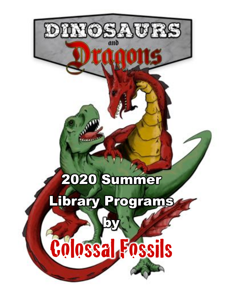# 2020 Summer

## Library Programs

340735



 $\mathbf{b}$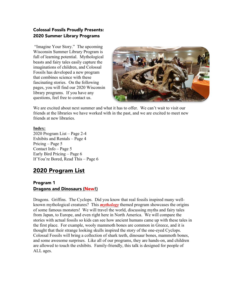#### Colossal Fossils Proudly Presents: 2020 Summer Library Programs

"Imagine Your Story." The upcoming Wisconsin Summer Library Program is full of learning potential. Mythological beasts and fairy tales easily capture the imaginations of children, and Colossal Fossils has developed a new program that combines science with these fascinating stories. On the following pages, you will find our 2020 Wisconsin library programs. If you have any questions, feel free to contact us.



We are excited about next summer and what it has to offer. We can't wait to visit our friends at the libraries we have worked with in the past, and we are excited to meet new friends at new libraries.

#### **Index:**

2020 Program List – Page 2-4 Exhibits and Rentals – Page 4 Pricing – Page 5 Contact Info – Page 5 Early Bird Pricing – Page 6 If You're Bored, Read This – Page 6

### 2020 Program List

#### Program 1 Dragons and Dinosaurs (New!)

Dragons. Griffins. The Cyclops. Did you know that real fossils inspired many wellknown mythological creatures? This *mythology* themed program showcases the origins of some famous monsters! We will travel the world, discussing myths and fairy tales from Japan, to Europe, and even right here in North America. We will compare the stories with actual fossils so kids can see how ancient humans came up with these tales in the first place. For example, wooly mammoth bones are common in Greece, and it is thought that their strange looking skulls inspired the story of the one-eyed Cyclops. Colossal Fossils will bring a collection of shark teeth, dinosaur bones, mammoth bones, and some awesome surprises. Like all of our programs, they are hands-on, and children are allowed to touch the exhibits. Family-friendly, this talk is designed for people of ALL ages.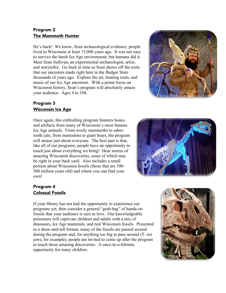#### Program 2 The Mammoth Hunter

He's back! We know, from archaeological evidence, people lived in Wisconsin at least 15,000 years ago. It was not easy to survive the harsh Ice Age environment, but humans did it. Meet Sean Sullivan, an experimental archaeologist, artist, and storyteller. Go back in time as Sean shows off the tools that our ancestors made right here in the Badger State thousands of years ago. Explore the art, hunting tools, and music of our Ice Age ancestors. With a prime focus on Wisconsin history, Sean's program will absolutely amaze your audience. Ages 4 to 104.

#### Program 3 Wisconsin Ice Age

Once again, this enthralling program features bones and artifacts from many of Wisconsin's most famous Ice Age animals. From wooly mammoths to sabertooth cats, from mastodons to giant bears, the program will amaze just about everyone. The best part is that, like all of our programs, people have an opportunity to touch just about everything we bring! Hear stories of amazing Wisconsin discoveries, some of which may be right in your back yard. Also includes a small portion about Wisconsin fossils (those that are 300- 500 million years old) and where you can find your own!

#### Program 4 Colossal Fossils

If your library has not had the opportunity to experience our programs yet, then consider a general "grab-bag" of hands-on fossils that your audience is sure to love. Our knowledgeable presenters will captivate children and adults with a mix of dinosaurs, Ice Age mammals, and real Wisconsin fossils. Presented in a show-and-tell format, many of the fossils are passed around during the program and, for anything too big to pass around (T. rex jaws, for example), people are invited to come up after the program to touch these amazing discoveries. A once-in-a-lifetime opportunity for many children.





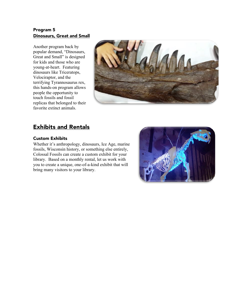#### Program 5 Dinosaurs, Great and Small

Another program back by popular demand, "Dinosaurs, Great and Small" is designed for kids and those who are young-at-heart. Featuring dinosaurs like Triceratops, Velociraptor, and the terrifying Tyrannosaurus rex, this hands-on program allows people the opportunity to touch fossils and fossil replicas that belonged to their favorite extinct animals.



## Exhibits and Rentals

#### Custom Exhibits

Whether it's anthropology, dinosaurs, Ice Age, marine fossils, Wisconsin history, or something else entirely, Colossal Fossils can create a custom exhibit for your library. Based on a monthly rental, let us work with you to create a unique, one-of-a-kind exhibit that will bring many visitors to your library.

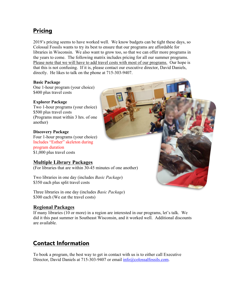## Pricing

2019's pricing seems to have worked well. We know budgets can be tight these days, so Colossal Fossils wants to try its best to ensure that our programs are affordable for libraries in Wisconsin. We also want to grow too, so that we can offer more programs in the years to come. The following matrix includes pricing for all our summer programs. Please note that we will have to add travel costs with most of our programs. Our hope is that this is not confusing. If it is, please contact our executive director, David Daniels, directly. He likes to talk on the phone at 715-303-9407.

#### **Basic Package**

One 1-hour program (your choice) \$400 plus travel costs

#### **Explorer Package**

Two 1-hour programs (your choice) \$500 plus travel costs (Programs must within 3 hrs. of one another)

#### **Discovery Package**

Four 1-hour programs (your choice) Includes "Esther" skeleton during program duration \$1,000 plus travel costs

#### **Multiple Library Packages**

(For libraries that are within 30-45 minutes of one another)

Two libraries in one day (includes *Basic Package*) \$350 each plus split travel costs

Three libraries in one day (includes *Basic Package*) \$300 each (We eat the travel costs)

#### **Regional Packages**

If many libraries (10 or more) in a region are interested in our programs, let's talk. We did it this past summer in Southeast Wisconsin, and it worked well. Additional discounts are available.

## Contact Information

To book a program, the best way to get in contact with us is to either call Executive Director, David Daniels at 715-303-9407 or email info@colossalfossils.com.